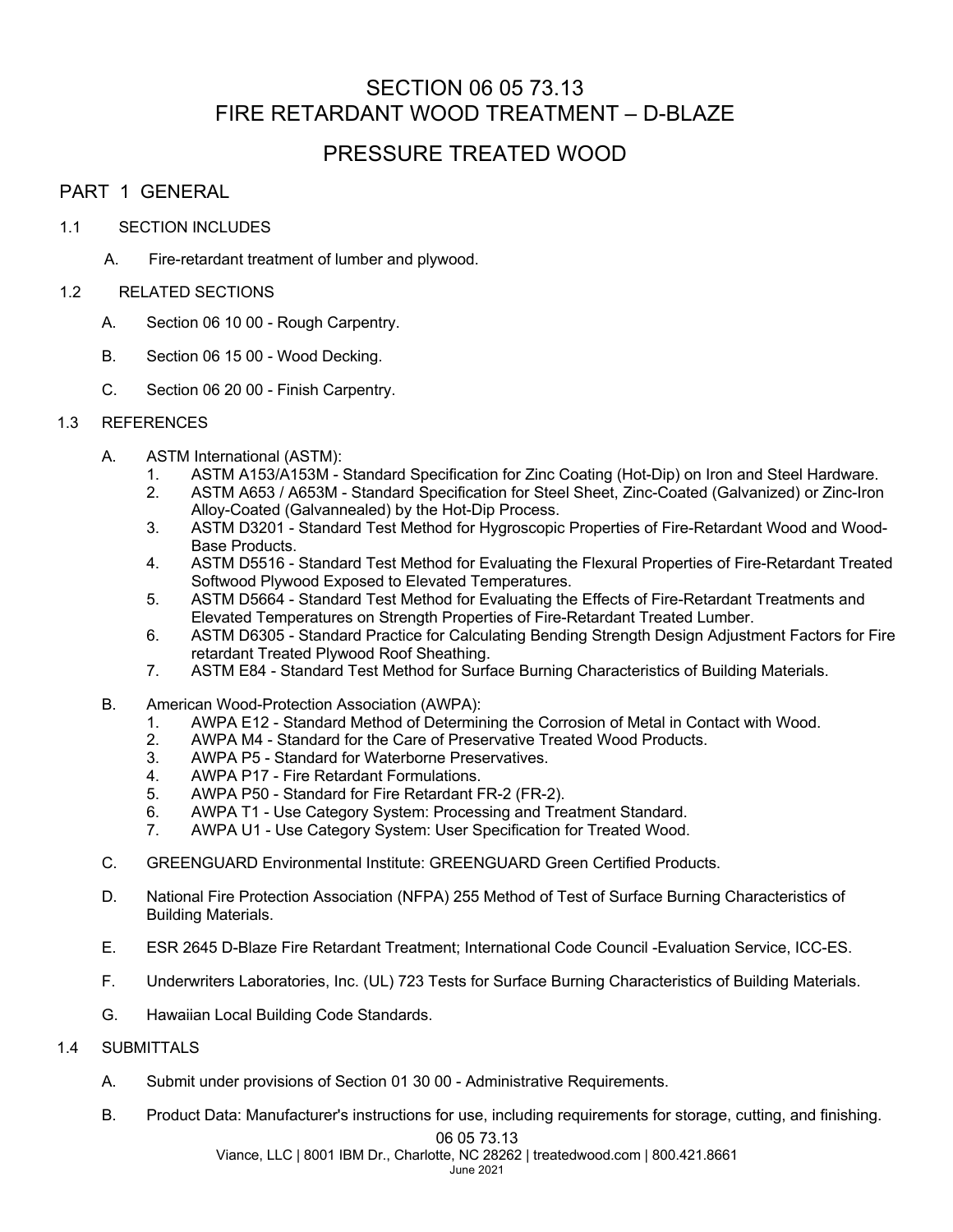# SECTION 06 05 73.13 FIRE RETARDANT WOOD TREATMENT – D-BLAZE

# PRESSURE TREATED WOOD

# PART 1 GENERAL

### 1.1 SECTION INCLUDES

A. Fire-retardant treatment of lumber and plywood.

### 1.2 RELATED SECTIONS

- A. Section 06 10 00 Rough Carpentry.
- B. Section 06 15 00 Wood Decking.
- C. Section 06 20 00 Finish Carpentry.

## 1.3 REFERENCES

- A. ASTM International (ASTM):
	- 1. ASTM A153/A153M Standard Specification for Zinc Coating (Hot-Dip) on Iron and Steel Hardware.
	- 2. ASTM A653 / A653M Standard Specification for Steel Sheet, Zinc-Coated (Galvanized) or Zinc-Iron Alloy-Coated (Galvannealed) by the Hot-Dip Process.
	- 3. ASTM D3201 Standard Test Method for Hygroscopic Properties of Fire-Retardant Wood and Wood-Base Products.
	- 4. ASTM D5516 Standard Test Method for Evaluating the Flexural Properties of Fire-Retardant Treated Softwood Plywood Exposed to Elevated Temperatures.
	- 5. ASTM D5664 Standard Test Method for Evaluating the Effects of Fire-Retardant Treatments and Elevated Temperatures on Strength Properties of Fire-Retardant Treated Lumber.
	- 6. ASTM D6305 Standard Practice for Calculating Bending Strength Design Adjustment Factors for Fire retardant Treated Plywood Roof Sheathing.
	- 7. ASTM E84 Standard Test Method for Surface Burning Characteristics of Building Materials.
- B. American Wood-Protection Association (AWPA):
	- 1. AWPA E12 Standard Method of Determining the Corrosion of Metal in Contact with Wood.
	- 2. AWPA M4 Standard for the Care of Preservative Treated Wood Products.
	- 3. AWPA P5 Standard for Waterborne Preservatives.
	- 4. AWPA P17 Fire Retardant Formulations.
	- 5. AWPA P50 Standard for Fire Retardant FR-2 (FR-2).
	- 6. AWPA T1 Use Category System: Processing and Treatment Standard.
	- 7. AWPA U1 Use Category System: User Specification for Treated Wood.
- C. GREENGUARD Environmental Institute: GREENGUARD Green Certified Products.
- D. National Fire Protection Association (NFPA) 255 Method of Test of Surface Burning Characteristics of Building Materials.
- E. ESR 2645 D-Blaze Fire Retardant Treatment; International Code Council -Evaluation Service, ICC-ES.
- F. Underwriters Laboratories, Inc. (UL) 723 Tests for Surface Burning Characteristics of Building Materials.
- G. Hawaiian Local Building Code Standards.

# 1.4 SUBMITTALS

- A. Submit under provisions of Section 01 30 00 Administrative Requirements.
- B. Product Data: Manufacturer's instructions for use, including requirements for storage, cutting, and finishing.

#### 06 05 73.13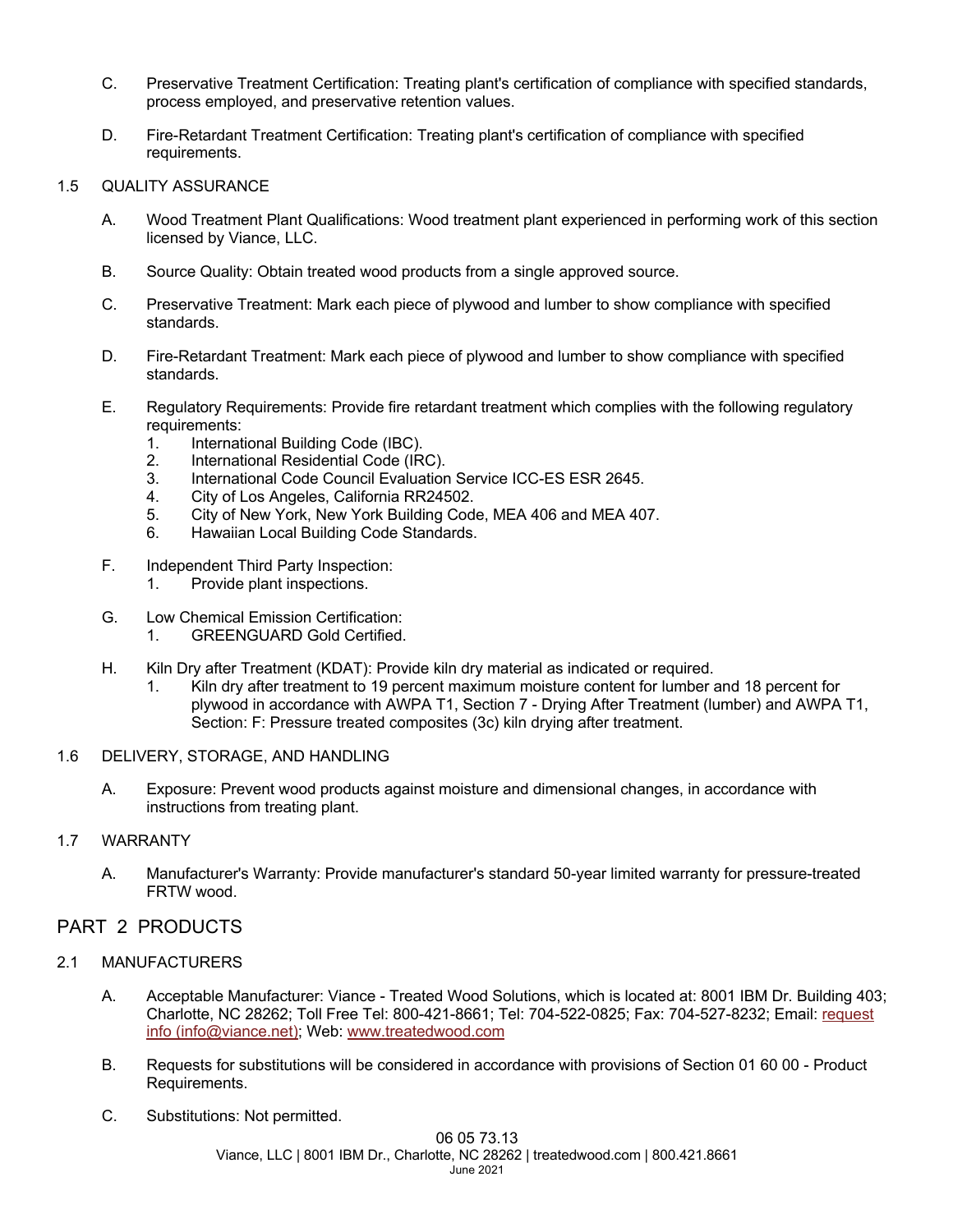- C. Preservative Treatment Certification: Treating plant's certification of compliance with specified standards, process employed, and preservative retention values.
- D. Fire-Retardant Treatment Certification: Treating plant's certification of compliance with specified requirements.

#### 1.5 QUALITY ASSURANCE

- A. Wood Treatment Plant Qualifications: Wood treatment plant experienced in performing work of this section licensed by Viance, LLC.
- B. Source Quality: Obtain treated wood products from a single approved source.
- C. Preservative Treatment: Mark each piece of plywood and lumber to show compliance with specified standards.
- D. Fire-Retardant Treatment: Mark each piece of plywood and lumber to show compliance with specified standards.
- E. Regulatory Requirements: Provide fire retardant treatment which complies with the following regulatory requirements:
	- 1. International Building Code (IBC).
	- 2. International Residential Code (IRC).
	- 3. International Code Council Evaluation Service ICC-ES ESR 2645.
	- 4. City of Los Angeles, California RR24502.
	- 5. City of New York, New York Building Code, MEA 406 and MEA 407.
	- 6. Hawaiian Local Building Code Standards.
- F. Independent Third Party Inspection:
	- 1. Provide plant inspections.
- G. Low Chemical Emission Certification: 1. GREENGUARD Gold Certified.
- H. Kiln Dry after Treatment (KDAT): Provide kiln dry material as indicated or required.
	- Kiln dry after treatment to 19 percent maximum moisture content for lumber and 18 percent for plywood in accordance with AWPA T1, Section 7 - Drying After Treatment (lumber) and AWPA T1, Section: F: Pressure treated composites (3c) kiln drying after treatment.

#### 1.6 DELIVERY, STORAGE, AND HANDLING

A. Exposure: Prevent wood products against moisture and dimensional changes, in accordance with instructions from treating plant.

### 1.7 WARRANTY

A. Manufacturer's Warranty: Provide manufacturer's standard 50-year limited warranty for pressure-treated FRTW wood.

# PART 2 PRODUCTS

- 2.1 MANUFACTURERS
	- A. Acceptable Manufacturer: Viance Treated Wood Solutions, which is located at: 8001 IBM Dr. Building 403; Charlotte, NC 28262; Toll Free Tel: 800-421-8661; Tel: 704-522-0825; Fax: 704-527-8232; Email: request info (info@viance.net); Web: www.treatedwood.com
	- B. Requests for substitutions will be considered in accordance with provisions of Section 01 60 00 Product Requirements.
	- C. Substitutions: Not permitted.

#### 06 05 73.13

Viance, LLC | 8001 IBM Dr., Charlotte, NC 28262 | treatedwood.com | 800.421.8661